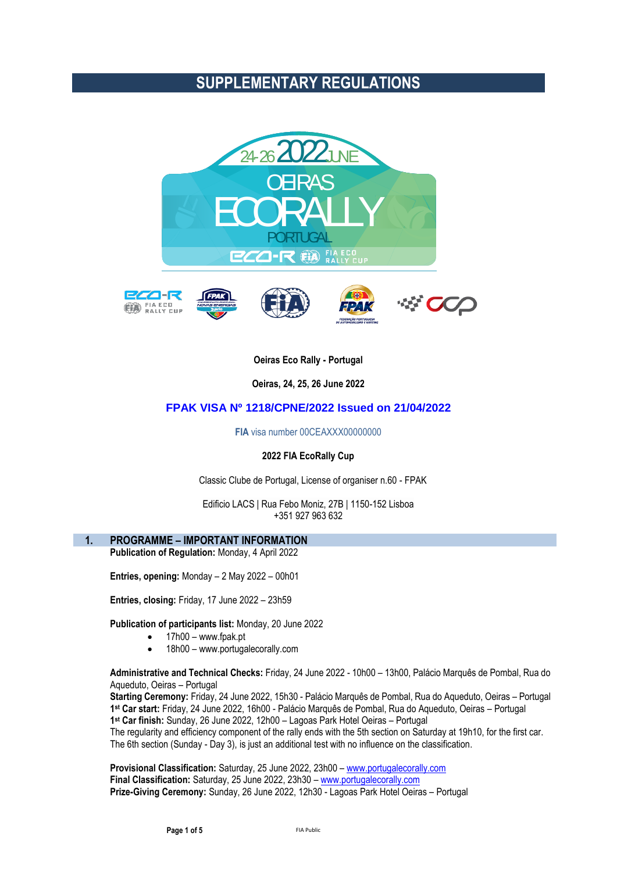# **SUPPLEMENTARY REGULATIONS**



# **Oeiras Eco Rally - Portugal**

**Oeiras, 24, 25, 26 June 2022**

## **FPAK VISA Nº 1218/CPNE/2022 Issued on 21/04/2022**

**FIA** visa number 00CEAXXX00000000

#### **2022 FIA EcoRally Cup**

Classic Clube de Portugal, License of organiser n.60 - FPAK

Edificio LACS | Rua Febo Moniz, 27B | 1150-152 Lisboa +351 927 963 632

## **1. PROGRAMME – IMPORTANT INFORMATION**

**Publication of Regulation:** Monday, 4 April 2022

**Entries, opening:** Monday – 2 May 2022 – 00h01

**Entries, closing:** Friday, 17 June 2022 – 23h59

**Publication of participants list:** Monday, 20 June 2022

- 17h00 www.fpak.pt
- 18h00 www.portugalecorally.com

**Administrative and Technical Checks:** Friday, 24 June 2022 - 10h00 – 13h00, Palácio Marquês de Pombal, Rua do Aqueduto, Oeiras – Portugal

**Starting Ceremony:** Friday, 24 June 2022, 15h30 - Palácio Marquês de Pombal, Rua do Aqueduto, Oeiras – Portugal **1 st Car start:** Friday, 24 June 2022, 16h00 - Palácio Marquês de Pombal, Rua do Aqueduto, Oeiras – Portugal **1 st Car finish:** Sunday, 26 June 2022, 12h00 – Lagoas Park Hotel Oeiras – Portugal The regularity and efficiency component of the rally ends with the 5th section on Saturday at 19h10, for the first car.

The 6th section (Sunday - Day 3), is just an additional test with no influence on the classification.

**Provisional Classification:** Saturday, 25 June 2022, 23h00 – [www.portugalecorally.com](http://www.portugalecorally.com/) **Final Classification:** Saturday, 25 June 2022, 23h30 – [www.portugalecorally.com](http://www.portugalecorally.com/) **Prize-Giving Ceremony:** Sunday, 26 June 2022, 12h30 - Lagoas Park Hotel Oeiras – Portugal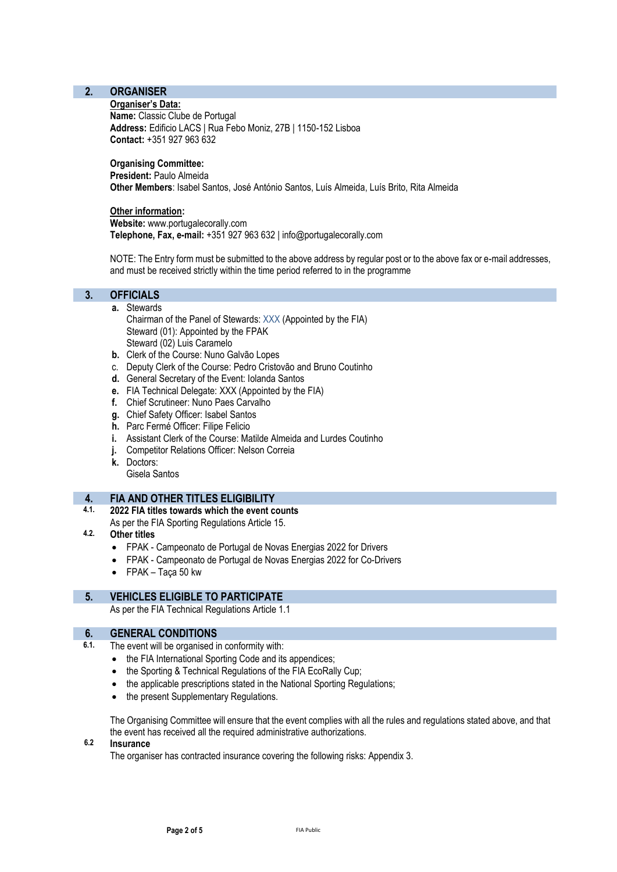# **2. ORGANISER**

#### **Organiser's Data:**

**Name:** Classic Clube de Portugal **Address:** Edificio LACS | Rua Febo Moniz, 27B | 1150-152 Lisboa **Contact:** +351 927 963 632

# **Organising Committee:**

**President:** Paulo Almeida

**Other Members**: Isabel Santos, José António Santos, Luís Almeida, Luís Brito, Rita Almeida

**Other information: Website:** www.portugalecorally.com **Telephone, Fax, e-mail:** +351 927 963 632 | info@portugalecorally.com

NOTE: The Entry form must be submitted to the above address by regular post or to the above fax or e-mail addresses, and must be received strictly within the time period referred to in the programme

## **3. OFFICIALS**

- **a.** Stewards Chairman of the Panel of Stewards: XXX (Appointed by the FIA) Steward (01): Appointed by the FPAK Steward (02) Luis Caramelo
- **b.** Clerk of the Course: Nuno Galvão Lopes
- c. Deputy Clerk of the Course: Pedro Cristovão and Bruno Coutinho
- **d.** General Secretary of the Event: Iolanda Santos
- **e.** FIA Technical Delegate: XXX (Appointed by the FIA)
- **f.** Chief Scrutineer: Nuno Paes Carvalho
- **g.** Chief Safety Officer: Isabel Santos
- **h.** Parc Fermé Officer: Filipe Felicio
- **i.** Assistant Clerk of the Course: Matilde Almeida and Lurdes Coutinho
- **j.** Competitor Relations Officer: Nelson Correia
- **k.** Doctors: Gisela Santos

# **4. FIA AND OTHER TITLES ELIGIBILITY**

## **4.1. 2022 FIA titles towards which the event counts**

- As per the FIA Sporting Regulations Article 15.
- **4.2. Other titles**
	- FPAK Campeonato de Portugal de Novas Energias 2022 for Drivers
	- FPAK Campeonato de Portugal de Novas Energias 2022 for Co-Drivers
	- FPAK Taça 50 kw

# **5. VEHICLES ELIGIBLE TO PARTICIPATE**

As per the FIA Technical Regulations Article 1.1

## **6. GENERAL CONDITIONS**

- **6.1.** The event will be organised in conformity with:
	- the FIA International Sporting Code and its appendices;
	- the Sporting & Technical Regulations of the FIA EcoRally Cup;
	- the applicable prescriptions stated in the National Sporting Regulations;
	- the present Supplementary Regulations.

The Organising Committee will ensure that the event complies with all the rules and regulations stated above, and that the event has received all the required administrative authorizations.

# **6.2 Insurance**

The organiser has contracted insurance covering the following risks: Appendix 3.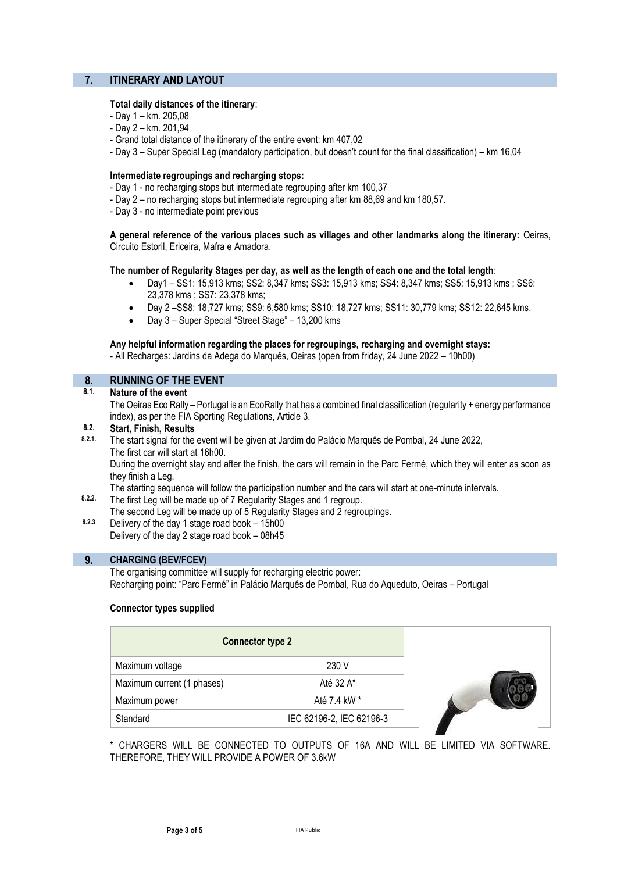# **7. ITINERARY AND LAYOUT**

#### **Total daily distances of the itinerary**:

- Day 1 km. 205,08
- Day 2 km. 201,94
- Grand total distance of the itinerary of the entire event: km 407,02
- Day 3 Super Special Leg (mandatory participation, but doesn't count for the final classification) km 16,04

#### **Intermediate regroupings and recharging stops:**

- Day 1 no recharging stops but intermediate regrouping after km 100,37
- Day 2 no recharging stops but intermediate regrouping after km 88,69 and km 180,57.
- Day 3 no intermediate point previous

**A general reference of the various places such as villages and other landmarks along the itinerary:** Oeiras, Circuito Estoril, Ericeira, Mafra e Amadora.

#### **The number of Regularity Stages per day, as well as the length of each one and the total length**:

- Day1 SS1: 15,913 kms; SS2: 8,347 kms; SS3: 15,913 kms; SS4: 8,347 kms; SS5: 15,913 kms ; SS6: 23,378 kms ; SS7: 23,378 kms;
- Day 2 –SS8: 18,727 kms; SS9: 6,580 kms; SS10: 18,727 kms; SS11: 30,779 kms; SS12: 22,645 kms.
- Day 3 Super Special "Street Stage" 13,200 kms

**Any helpful information regarding the places for regroupings, recharging and overnight stays:**  - All Recharges: Jardins da Adega do Marquês, Oeiras (open from friday, 24 June 2022 – 10h00)

## **8. RUNNING OF THE EVENT**

**8.1. Nature of the event**

The Oeiras Eco Rally – Portugal is an EcoRally that has a combined final classification (regularity + energy performance index), as per the FIA Sporting Regulations, Article 3.

# **8.2. Start, Finish, Results**

**8.2.1.** The start signal for the event will be given at Jardim do Palácio Marquês de Pombal, 24 June 2022, The first car will start at 16h00.

During the overnight stay and after the finish, the cars will remain in the Parc Fermé, which they will enter as soon as they finish a Leg.

The starting sequence will follow the participation number and the cars will start at one-minute intervals.

- **8.2.2.** The first Leg will be made up of 7 Regularity Stages and 1 regroup.
	- The second Leg will be made up of 5 Regularity Stages and 2 regroupings.
- **8.2.3** Delivery of the day 1 stage road book 15h00 Delivery of the day 2 stage road book – 08h45

## **9. CHARGING (BEV/FCEV)**

The organising committee will supply for recharging electric power: Recharging point: "Parc Fermé" in Palácio Marquês de Pombal, Rua do Aqueduto, Oeiras – Portugal

## **Connector types supplied**

| <b>Connector type 2</b>    |                          |
|----------------------------|--------------------------|
| Maximum voltage            | 230 V                    |
| Maximum current (1 phases) | Até 32 A*                |
| Maximum power              | Até 7.4 kW *             |
| Standard                   | IEC 62196-2, IEC 62196-3 |

\* CHARGERS WILL BE CONNECTED TO OUTPUTS OF 16A AND WILL BE LIMITED VIA SOFTWARE. THEREFORE, THEY WILL PROVIDE A POWER OF 3.6kW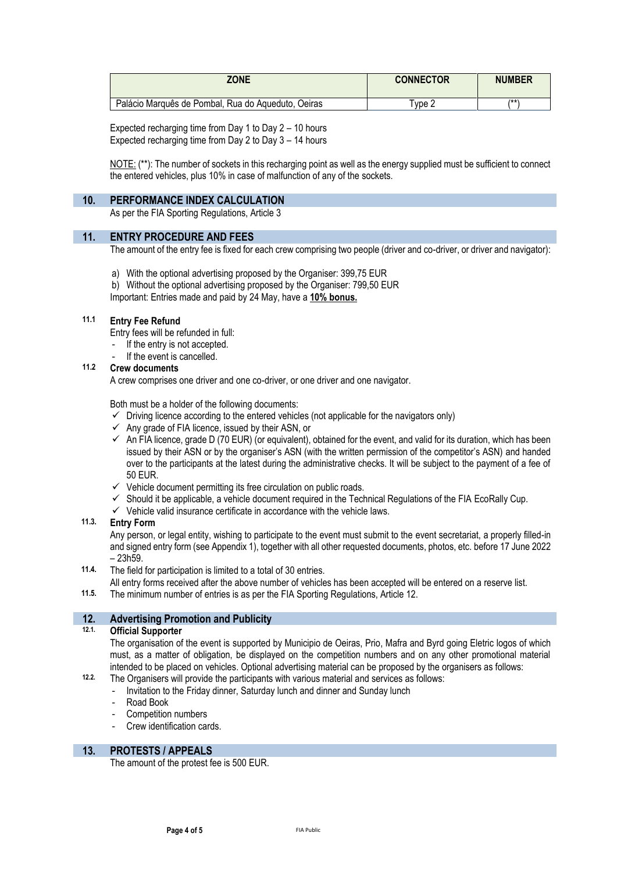| <b>ZONE</b>                                        | <b>CONNECTOR</b> | <b>NUMBER</b> |
|----------------------------------------------------|------------------|---------------|
| Palácio Marquês de Pombal, Rua do Aqueduto, Oeiras | $T$ vpe $\sim$   | /**           |

Expected recharging time from Day 1 to Day 2 – 10 hours Expected recharging time from Day 2 to Day 3 – 14 hours

NOTE: (\*\*): The number of sockets in this recharging point as well as the energy supplied must be sufficient to connect the entered vehicles, plus 10% in case of malfunction of any of the sockets.

## **10. PERFORMANCE INDEX CALCULATION**

As per the FIA Sporting Regulations, Article 3

## **11. ENTRY PROCEDURE AND FEES**

The amount of the entry fee is fixed for each crew comprising two people (driver and co-driver, or driver and navigator):

- a) With the optional advertising proposed by the Organiser: 399,75 EUR
- b) Without the optional advertising proposed by the Organiser: 799,50 EUR

Important: Entries made and paid by 24 May, have a **10% bonus.**

## **11.1 Entry Fee Refund**

Entry fees will be refunded in full:

- If the entry is not accepted.
- If the event is cancelled.

# **11.2 Crew documents**

A crew comprises one driver and one co-driver, or one driver and one navigator.

Both must be a holder of the following documents:

- $\checkmark$  Driving licence according to the entered vehicles (not applicable for the navigators only)
- $\checkmark$  Any grade of FIA licence, issued by their ASN, or
- $\checkmark$  An FIA licence, grade D (70 EUR) (or equivalent), obtained for the event, and valid for its duration, which has been issued by their ASN or by the organiser's ASN (with the written permission of the competitor's ASN) and handed over to the participants at the latest during the administrative checks. It will be subject to the payment of a fee of 50 EUR.
- $\checkmark$  Vehicle document permitting its free circulation on public roads.
- $\checkmark$  Should it be applicable, a vehicle document required in the Technical Regulations of the FIA EcoRally Cup.
- $\checkmark$  Vehicle valid insurance certificate in accordance with the vehicle laws.

## **11.3. Entry Form**

Any person, or legal entity, wishing to participate to the event must submit to the event secretariat, a properly filled-in and signed entry form (see Appendix 1), together with all other requested documents, photos, etc. before 17 June 2022 – 23h59.

- **11.4.** The field for participation is limited to a total of 30 entries.
- All entry forms received after the above number of vehicles has been accepted will be entered on a reserve list.
- **11.5.** The minimum number of entries is as per the FIA Sporting Regulations, Article 12.

# **12. Advertising Promotion and Publicity**

## **12.1. Official Supporter**

The organisation of the event is supported by Municipio de Oeiras, Prio, Mafra and Byrd going Eletric logos of which must, as a matter of obligation, be displayed on the competition numbers and on any other promotional material intended to be placed on vehicles. Optional advertising material can be proposed by the organisers as follows:

- **12.2.** The Organisers will provide the participants with various material and services as follows:
	- Invitation to the Friday dinner, Saturday lunch and dinner and Sunday lunch
	- Road Book
	- Competition numbers
	- Crew identification cards.

## **13. PROTESTS / APPEALS**

The amount of the protest fee is 500 EUR.